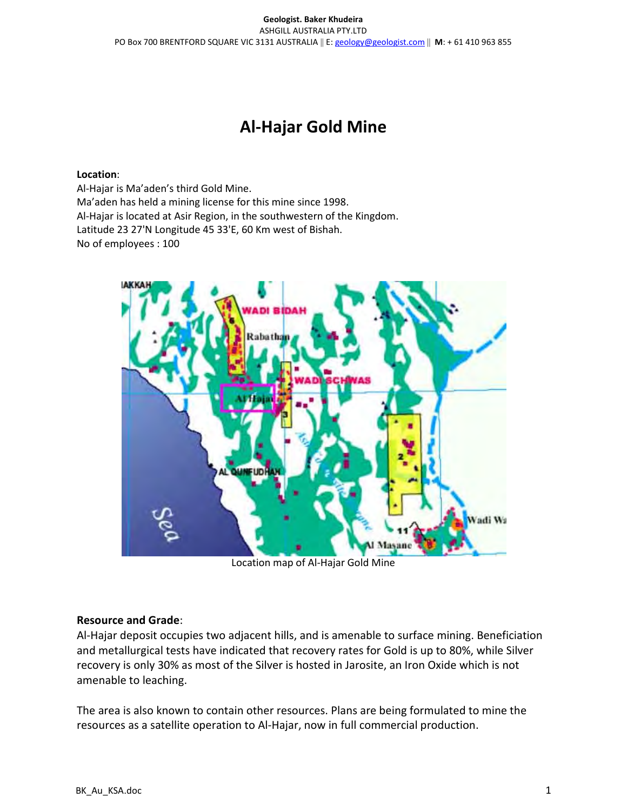# Al-Hajar Gold Mine

### Location:

Al-Hajar is Ma'aden's third Gold Mine. Ma'aden has held a mining license for this mine since 1998. Al-Hajar is located at Asir Region, in the southwestern of the Kingdom. Latitude 23 27'N Longitude 45 33'E, 60 Km west of Bishah. No of employees : 100



Location map of Al-Hajar Gold Mine

## Resource and Grade:

Al-Hajar deposit occupies two adjacent hills, and is amenable to surface mining. Beneficiation and metallurgical tests have indicated that recovery rates for Gold is up to 80%, while Silver recovery is only 30% as most of the Silver is hosted in Jarosite, an Iron Oxide which is not amenable to leaching.

The area is also known to contain other resources. Plans are being formulated to mine the resources as a satellite operation to Al-Hajar, now in full commercial production.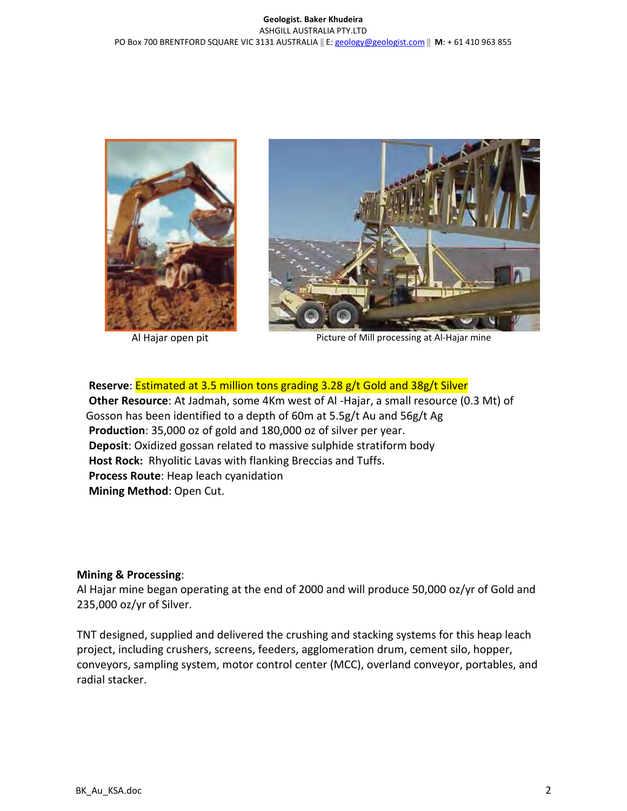#### Geologist. Baker Khudeira ASHGILL AUSTRALIA PTY.LTD PO Box 700 BRENTFORD SQUARE VIC 3131 AUSTRALIA || E: geology@geologist.com || M: + 61 410 963 855





Al Hajar open pit **Allocal Contract Processing at Al-Hajar mine** 

Reserve: Estimated at 3.5 million tons grading 3.28 g/t Gold and 38g/t Silver Other Resource: At Jadmah, some 4Km west of Al -Hajar, a small resource (0.3 Mt) of Gosson has been identified to a depth of 60m at 5.5g/t Au and 56g/t Ag Production: 35,000 oz of gold and 180,000 oz of silver per year. Deposit: Oxidized gossan related to massive sulphide stratiform body Host Rock: Rhyolitic Lavas with flanking Breccias and Tuffs. Process Route: Heap leach cyanidation Mining Method: Open Cut.

## Mining & Processing:

Al Hajar mine began operating at the end of 2000 and will produce 50,000 oz/yr of Gold and 235,000 oz/yr of Silver.

TNT designed, supplied and delivered the crushing and stacking systems for this heap leach project, including crushers, screens, feeders, agglomeration drum, cement silo, hopper, conveyors, sampling system, motor control center (MCC), overland conveyor, portables, and radial stacker.